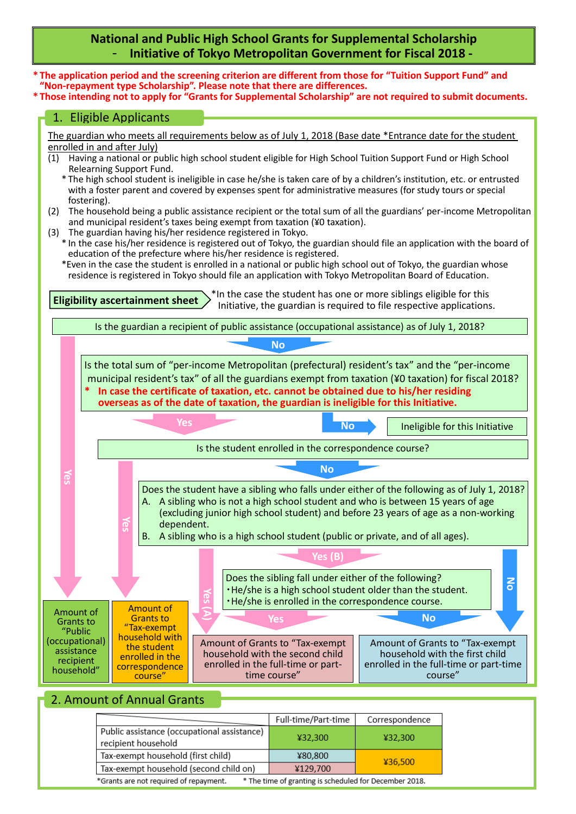#### **National and Public High School Grants for Supplemental Scholarship**  - **Initiative of Tokyo Metropolitan Government for Fiscal 2018 -**



| *Grants are not required of repayment. | * The time of granting is scheduled for December 2018. |
|----------------------------------------|--------------------------------------------------------|

¥80,800

¥129,700

¥36,500

Tax-exempt household (first child)

Tax-exempt household (second child on)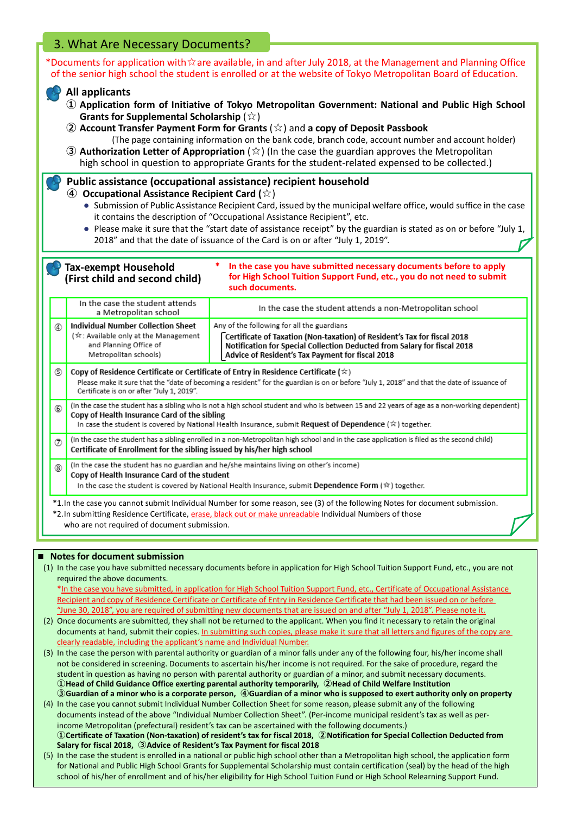## 3. What Are Necessary Documents?

\*Documents for application with☆are available, in and after July 2018, at the Management and Planning Office of the senior high school the student is enrolled or at the website of Tokyo Metropolitan Board of Education.

#### **All applicants**

- **① Application form of Initiative of Tokyo Metropolitan Government: National and Public High School Grants for Supplemental Scholarship** (☆)
- **② Account Transfer Payment Form for Grants** (☆) and **a copy of Deposit Passbook** (The page containing information on the bank code, branch code, account number and account holder)
- **③ Authorization Letter of Appropriation** (☆) (In the case the guardian approves the Metropolitan high school in question to appropriate Grants for the student-related expensed to be collected.)

#### **Public assistance (occupational assistance) recipient household**

- **④ Occupational Assistance Recipient Card (**☆)
	- Submission of Public Assistance Recipient Card, issued by the municipal welfare office, would suffice in the case it contains the description of "Occupational Assistance Recipient", etc.
	- Please make it sure that the "start date of assistance receipt" by the guardian is stated as on or before "July 1, 2018" and that the date of issuance of the Card is on or after "July 1, 2019".

**\* In the case you have submitted necessary documents before to apply Tax-exempt Household for High School Tuition Support Fund, etc., you do not need to submit (First child and second child) such documents.** In the case the student attends In the case the student attends a non-Metropolitan school a Metropolitan school **Individual Number Collection Sheet** Any of the following for all the guardians  $\circledA$ (☆ Available only at the Management Certificate of Taxation (Non-taxation) of Resident's Tax for fiscal 2018 and Planning Office of Notification for Special Collection Deducted from Salary for fiscal 2018 Metropolitan schools) Advice of Resident's Tax Payment for fiscal 2018  $\circledS$ Copy of Residence Certificate or Certificate of Entry in Residence Certificate ( $\hat{\star}$ ) Please make it sure that the "date of becoming a resident" for the guardian is on or before "July 1, 2018" and that the date of issuance of Certificate is on or after "July 1, 2019". (In the case the student has a sibling who is not a high school student and who is between 15 and 22 years of age as a non-working dependent)  $\circledS$ Copy of Health Insurance Card of the sibling In case the student is covered by National Health Insurance, submit Request of Dependence ( $\hat{\ast}$ ) together. (In the case the student has a sibling enrolled in a non-Metropolitan high school and in the case application is filed as the second child)  $\circledcirc$ Certificate of Enrollment for the sibling issued by his/her high school (In the case the student has no guardian and he/she maintains living on other's income) Copy of Health Insurance Card of the student In the case the student is covered by National Health Insurance, submit Dependence Form ( $\approx$ ) together. \*1.In the case you cannot submit Individual Number for some reason, see (3) of the following Notes for document submission. \*2.In submitting Residence Certificate, erase, black out or make unreadable Individual Numbers of those who are not required of document submission.

#### **■ Notes for document submission**

(1) In the case you have submitted necessary documents before in application for High School Tuition Support Fund, etc., you are not required the above documents.

\*In the case you have submitted, in application for High School Tuition Support Fund, etc., Certificate of Occupational Assistance Recipient and copy of Residence Certificate or Certificate of Entry in Residence Certificate that had been issued on or before "June 30, 2018", you are required of submitting new documents that are issued on and after "July 1, 2018". Please note it.

- (2) Once documents are submitted, they shall not be returned to the applicant. When you find it necessary to retain the original documents at hand, submit their copies. In submitting such copies, please make it sure that all letters and figures of the copy are clearly readable, including the applicant's name and Individual Number.
- (3) In the case the person with parental authority or guardian of a minor falls under any of the following four, his/her income shall not be considered in screening. Documents to ascertain his/her income is not required. For the sake of procedure, regard the student in question as having no person with parental authority or guardian of a minor, and submit necessary documents. **①Head of Child Guidance Office exerting parental authority temporarily, ②Head of Child Welfare Institution ③Guardian of a minor who is a corporate person, ④Guardian of a minor who is supposed to exert authority only on property**
- (4) In the case you cannot submit Individual Number Collection Sheet for some reason, please submit any of the following documents instead of the above "Individual Number Collection Sheet". (Per-income municipal resident's tax as well as perincome Metropolitan (prefectural) resident's tax can be ascertained with the following documents.) **①Certificate of Taxation (Non-taxation) of resident's tax for fiscal 2018, ②Notification for Special Collection Deducted from Salary for fiscal 2018, ③Advice of Resident's Tax Payment for fiscal 2018**
- (5) In the case the student is enrolled in a national or public high school other than a Metropolitan high school, the application form for National and Public High School Grants for Supplemental Scholarship must contain certification (seal) by the head of the high school of his/her of enrollment and of his/her eligibility for High School Tuition Fund or High School Relearning Support Fund.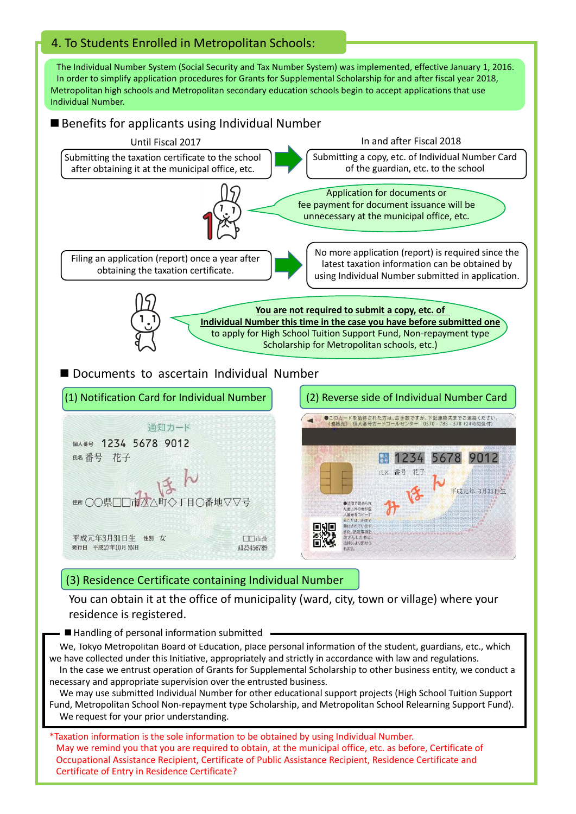# 4. To Students Enrolled in Metropolitan Schools:

The Individual Number System (Social Security and Tax Number System) was implemented, effective January 1, 2016. In order to simplify application procedures for Grants for Supplemental Scholarship for and after fiscal year 2018, Metropolitan high schools and Metropolitan secondary education schools begin to accept applications that use Individual Number.

### ■ Benefits for applicants using Individual Number



#### (3) Residence Certificate containing Individual Number

You can obtain it at the office of municipality (ward, city, town or village) where your residence is registered.

A123456789

■ Handling of personal information submitted

発行日 平成27年10月 NN日

We, Tokyo Metropolitan Board of Education, place personal information of the student, guardians, etc., which we have collected under this Initiative, appropriately and strictly in accordance with law and regulations. In the case we entrust operation of Grants for Supplemental Scholarship to other business entity, we conduct a

necessary and appropriate supervision over the entrusted business. We may use submitted Individual Number for other educational support projects (High School Tuition Support Fund, Metropolitan School Non-repayment type Scholarship, and Metropolitan School Relearning Support Fund). We request for your prior understanding.

\*Taxation information is the sole information to be obtained by using Individual Number. May we remind you that you are required to obtain, at the municipal office, etc. as before, Certificate of Occupational Assistance Recipient, Certificate of Public Assistance Recipient, Residence Certificate and Certificate of Entry in Residence Certificate?